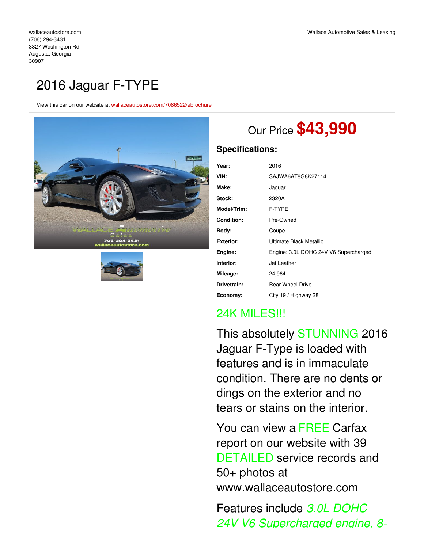# 2016 Jaguar F-TYPE

View this car on our website at [wallaceautostore.com/7086522/ebrochure](https://wallaceautostore.com/vehicle/7086522/2016-jaguar-f-type-augusta-georgia-30907/7086522/ebrochure)





# Our Price **\$43,990**

### **Specifications:**

| Year:             | 2016                                  |
|-------------------|---------------------------------------|
| VIN:              | SAJWA6AT8G8K27114                     |
| Make:             | Jaguar                                |
| Stock:            | 2320A                                 |
| Model/Trim:       | F-TYPE                                |
| <b>Condition:</b> | Pre-Owned                             |
| Body:             | Coupe                                 |
| <b>Exterior:</b>  | Ultimate Black Metallic               |
| Engine:           | Engine: 3.0L DOHC 24V V6 Supercharged |
| Interior:         | Jet Leather                           |
| Mileage:          | 24,964                                |
| Drivetrain:       | <b>Rear Wheel Drive</b>               |
| Economy:          | City 19 / Highway 28                  |

## 24K MILES!!!

This absolutely STUNNING 2016 Jaguar F-Type is loaded with features and is in immaculate condition. There are no dents or dings on the exterior and no tears or stains on the interior.

You can view a FREE Carfax report on our website with 39 DETAILED service records and 50+ photos at www.wallaceautostore.com

Features include *3.0L DOHC 24V V6 Supercharged engine, 8-*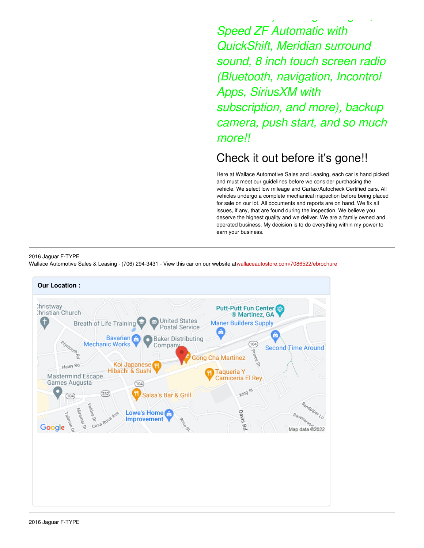*Speed ZF Automatic with QuickShift, Meridian surround sound, 8 inch touch screen radio (Bluetooth, navigation, Incontrol Apps, SiriusXM with subscription, and more), backup camera, push start, and so much more!!*

*24V V6 Supercharged engine, 8-*

## Check it out before it's gone!!

Here at Wallace Automotive Sales and Leasing, each car is hand picked and must meet our guidelines before we consider purchasing the vehicle. We select low mileage and Carfax/Autocheck Certified cars. All vehicles undergo a complete mechanical inspection before being placed for sale on our lot. All documents and reports are on hand. We fix all issues, if any, that are found during the inspection. We believe you deserve the highest quality and we deliver. We are a family owned and operated business. My decision is to do everything within my power to earn your business.

#### 2016 Jaguar F-TYPE

Wallace Automotive Sales & Leasing - (706) 294-3431 - View this car on our website at[wallaceautostore.com/7086522/ebrochure](https://wallaceautostore.com/vehicle/7086522/2016-jaguar-f-type-augusta-georgia-30907/7086522/ebrochure)

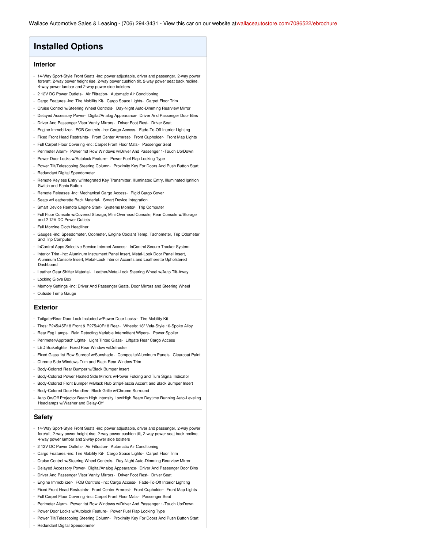### **Installed Options**

#### **Interior**

- 14-Way Sport-Style Front Seats -inc: power adjustable, driver and passenger, 2-way power fore/aft, 2-way power height rise, 2-way power cushion tilt, 2-way power seat back recline, 4-way power lumbar and 2-way power side bolsters
- 2 12V DC Power Outlets- Air Filtration- Automatic Air Conditioning
- Cargo Features -inc: Tire Mobility Kit- Cargo Space Lights- Carpet Floor Trim
- Cruise Control w/Steering Wheel Controls- Day-Night Auto-Dimming Rearview Mirror
- Delayed Accessory Power- Digital/Analog Appearance- Driver And Passenger Door Bins
- Driver And Passenger Visor Vanity Mirrors Driver Foot Rest- Driver Seat
- Engine Immobilizer- FOB Controls -inc: Cargo Access- Fade-To-Off Interior Lighting
- Fixed Front Head Restraints- Front Center Armrest- Front Cupholder- Front Map Lights
- Full Carpet Floor Covering -inc: Carpet Front Floor Mats Passenger Seat
- Perimeter Alarm- Power 1st Row Windows w/Driver And Passenger 1-Touch Up/Down
- Power Door Locks w/Autolock Feature- Power Fuel Flap Locking Type
- Power Tilt/Telescoping Steering Column- Proximity Key For Doors And Push Button Start
- Redundant Digital Speedometer
- Remote Keyless Entry w/Integrated Key Transmitter, Illuminated Entry, Illuminated Ignition Switch and Panic Button
- Remote Releases -Inc: Mechanical Cargo Access- Rigid Cargo Cover
- Seats w/Leatherette Back Material- Smart Device Integration
- Smart Device Remote Engine Start- Systems Monitor- Trip Computer
- Full Floor Console w/Covered Storage, Mini Overhead Console, Rear Console w/Storage and 2 12V DC Power Outlets
- Full Morzine Cloth Headliner
- Gauges -inc: Speedometer, Odometer, Engine Coolant Temp, Tachometer, Trip Odometer and Trip Computer
- InControl Apps Selective Service Internet Access- InControl Secure Tracker System
- Interior Trim -inc: Aluminum Instrument Panel Insert, Metal-Look Door Panel Insert, Aluminum Console Insert, Metal-Look Interior Accents and Leatherette Upholstered Dashboard
- Leather Gear Shifter Material- Leather/Metal-Look Steering Wheel w/Auto Tilt-Away - Locking Glove Box
- 
- Memory Settings -inc: Driver And Passenger Seats, Door Mirrors and Steering Wheel
- Outside Temp Gauge

#### **Exterior**

- Tailgate/Rear Door Lock Included w/Power Door Locks Tire Mobility Kit
- Tires: P245/45R18 Front & P275/40R18 Rear- Wheels: 18" Vela-Style 10-Spoke Alloy
- Rear Fog Lamps- Rain Detecting Variable Intermittent Wipers- Power Spoiler
- Perimeter/Approach Lights- Light Tinted Glass- Liftgate Rear Cargo Access
- LED Brakelights- Fixed Rear Window w/Defroster
- Fixed Glass 1st Row Sunroof w/Sunshade- Composite/Aluminum Panels- Clearcoat Paint
- Chrome Side Windows Trim and Black Rear Window Trim
- Body-Colored Rear Bumper w/Black Bumper Insert
- Body-Colored Power Heated Side Mirrors w/Power Folding and Turn Signal Indicator
- Body-Colored Front Bumper w/Black Rub Strip/Fascia Accent and Black Bumper Insert
- Body-Colored Door Handles- Black Grille w/Chrome Surround
- Auto On/Off Projector Beam High Intensity Low/High Beam Daytime Running Auto-Leveling Headlamps w/Washer and Delay-Off

#### **Safety**

- 14-Way Sport-Style Front Seats -inc: power adjustable, driver and passenger, 2-way power fore/aft, 2-way power height rise, 2-way power cushion tilt, 2-way power seat back recline, 4-way power lumbar and 2-way power side bolsters
- 2 12V DC Power Outlets- Air Filtration- Automatic Air Conditioning
- Cargo Features -inc: Tire Mobility Kit- Cargo Space Lights- Carpet Floor Trim
- Cruise Control w/Steering Wheel Controls- Day-Night Auto-Dimming Rearview Mirror
- Delayed Accessory Power- Digital/Analog Appearance- Driver And Passenger Door Bins
- Driver And Passenger Visor Vanity Mirrors Driver Foot Rest- Driver Seat
- Engine Immobilizer- FOB Controls -inc: Cargo Access- Fade-To-Off Interior Lighting
- Fixed Front Head Restraints- Front Center Armrest- Front Cupholder- Front Map Lights
- Full Carpet Floor Covering -inc: Carpet Front Floor Mats Passenger Seat
- Perimeter Alarm- Power 1st Row Windows w/Driver And Passenger 1-Touch Up/Down
- Power Door Locks w/Autolock Feature- Power Fuel Flap Locking Type
- Power Tilt/Telescoping Steering Column- Proximity Key For Doors And Push Button Start
- Redundant Digital Speedometer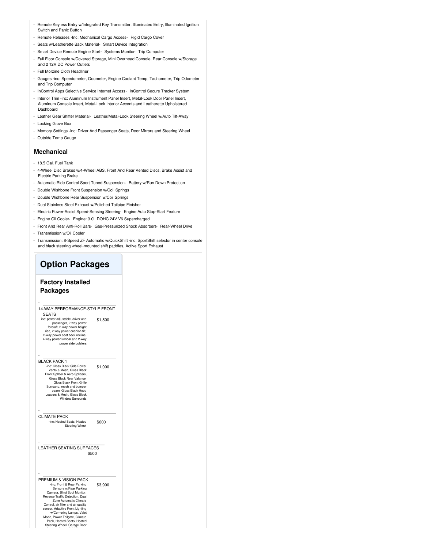- Remote Keyless Entry w/Integrated Key Transmitter, Illuminated Entry, Illuminated Ignition Switch and Panic Button
- Remote Releases -Inc: Mechanical Cargo Access- Rigid Cargo Cover
- Seats w/Leatherette Back Material- Smart Device Integration
- Smart Device Remote Engine Start- Systems Monitor- Trip Computer
- Full Floor Console w/Covered Storage, Mini Overhead Console, Rear Console w/Storage and 2 12V DC Power Outlets
- Full Morzine Cloth Headliner
- Gauges -inc: Speedometer, Odometer, Engine Coolant Temp, Tachometer, Trip Odometer and Trip Computer
- InControl Apps Selective Service Internet Access- InControl Secure Tracker System
- Interior Trim -inc: Aluminum Instrument Panel Insert, Metal-Look Door Panel Insert, Aluminum Console Insert, Metal-Look Interior Accents and Leatherette Upholstered Dashboard
- Leather Gear Shifter Material- Leather/Metal-Look Steering Wheel w/Auto Tilt-Away - Locking Glove Box
- Memory Settings -inc: Driver And Passenger Seats, Door Mirrors and Steering Wheel
- Outside Temp Gauge

#### **Mechanical**

- 18.5 Gal. Fuel Tank
- 4-Wheel Disc Brakes w/4-Wheel ABS, Front And Rear Vented Discs, Brake Assist and Electric Parking Brake
- Automatic Ride Control Sport Tuned Suspension- Battery w/Run Down Protection
- Double Wishbone Front Suspension w/Coil Springs
- Double Wishbone Rear Suspension w/Coil Springs
- Dual Stainless Steel Exhaust w/Polished Tailpipe Finisher
- Electric Power-Assist Speed-Sensing Steering- Engine Auto Stop-Start Feature
- Engine Oil Cooler- Engine: 3.0L DOHC 24V V6 Supercharged
- Front And Rear Anti-Roll Bars- Gas-Pressurized Shock Absorbers- Rear-Wheel Drive
- Transmission w/Oil Cooler
- Transmission: 8-Speed ZF Automatic w/QuickShift -inc: SportShift selector in center console and black steering wheel-mounted shift paddles, Active Sport Exhaust

## **Option Packages**

#### **Factory Installed Packages**

#### - 14-WAY PERFORMANCE-STYLE FRONT SEATS

\$1,500 -inc: power adjustable, driver and passenger, 2-way power fore/aft, 2-way power height rise, 2-way power cushion tilt, 2-way power seat back recline, 4-way power lumbar and 2-way power side bolsters

#### - BLACK PACK 1

| -inc: Gloss Black Side Power<br>Vents & Mesh, Gloss Black<br>Front Splitter & Aero Splitters,<br>Gloss Black Rear Valance.<br>Gloss Black Front Grille<br>Surround, mesh and bumper<br>beam, Gloss Black Hood<br>Louvers & Mesh, Gloss Black<br><b>Window Surrounds</b> | \$1,000 |
|-------------------------------------------------------------------------------------------------------------------------------------------------------------------------------------------------------------------------------------------------------------------------|---------|
|-------------------------------------------------------------------------------------------------------------------------------------------------------------------------------------------------------------------------------------------------------------------------|---------|

#### CLIMATE PACK

-

-

-

\$600 -inc: Heated Seats, Heated Steering Wheel

#### \$500 LEATHER SEATING SURFACES

\$3,900 PREMIUM & VISION PACK -inc: Front & Rear Parking Sensors w/Rear Parking Camera, Blind Spot Monitor, Reverse Traffic Detection, Dual Zone Automatic Climate Control, air filter and air quality sensor, Adaptive Front Lighting<br>
W/Cornering Lamps, Valet<br>
Mode, Power Tailgate, Climate<br>
Pack, Heated Seats, Heated<br>
Steering Wheel, Garage Door